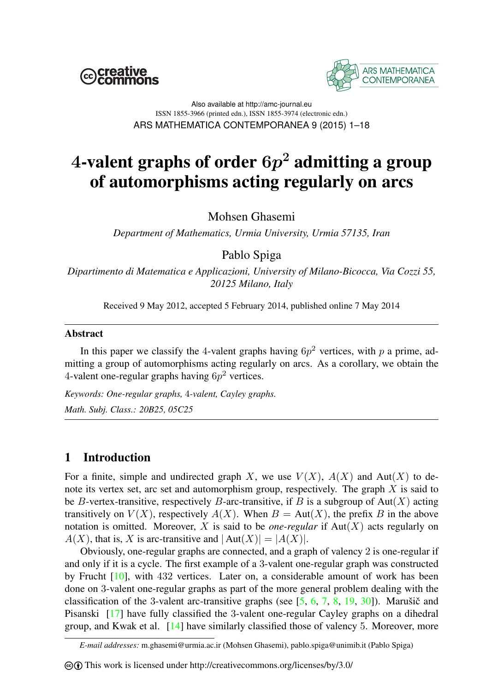



Also available at http://amc-journal.eu ISSN 1855-3966 (printed edn.), ISSN 1855-3974 (electronic edn.) ARS MATHEMATICA CONTEMPORANEA 9 (2015) 1–18

# 4-valent graphs of order  $6p^2$  admitting a group of automorphisms acting regularly on arcs

Mohsen Ghasemi

*Department of Mathematics, Urmia University, Urmia 57135, Iran*

Pablo Spiga

*Dipartimento di Matematica e Applicazioni, University of Milano-Bicocca, Via Cozzi 55, 20125 Milano, Italy*

Received 9 May 2012, accepted 5 February 2014, published online 7 May 2014

### Abstract

In this paper we classify the 4-valent graphs having  $6p^2$  vertices, with p a prime, admitting a group of automorphisms acting regularly on arcs. As a corollary, we obtain the 4-valent one-regular graphs having  $6p^2$  vertices.

*Keywords: One-regular graphs,* 4*-valent, Cayley graphs.*

*Math. Subj. Class.: 20B25, 05C25*

## 1 Introduction

For a finite, simple and undirected graph X, we use  $V(X)$ ,  $A(X)$  and  $Aut(X)$  to denote its vertex set, arc set and automorphism group, respectively. The graph  $X$  is said to be B-vertex-transitive, respectively B-arc-transitive, if B is a subgroup of Aut(X) acting transitively on  $V(X)$ , respectively  $A(X)$ . When  $B = Aut(X)$ , the prefix B in the above notation is omitted. Moreover,  $X$  is said to be *one-regular* if  $Aut(X)$  acts regularly on  $A(X)$ , that is, X is arc-transitive and  $|\text{Aut}(X)| = |A(X)|$ .

Obviously, one-regular graphs are connected, and a graph of valency 2 is one-regular if and only if it is a cycle. The first example of a 3-valent one-regular graph was constructed by Frucht [\[10\]](#page-16-0), with 432 vertices. Later on, a considerable amount of work has been done on 3-valent one-regular graphs as part of the more general problem dealing with the classification of the 3-valent arc-transitive graphs (see  $[5, 6, 7, 8, 19, 30]$  $[5, 6, 7, 8, 19, 30]$  $[5, 6, 7, 8, 19, 30]$  $[5, 6, 7, 8, 19, 30]$  $[5, 6, 7, 8, 19, 30]$  $[5, 6, 7, 8, 19, 30]$  $[5, 6, 7, 8, 19, 30]$  $[5, 6, 7, 8, 19, 30]$  $[5, 6, 7, 8, 19, 30]$  $[5, 6, 7, 8, 19, 30]$  $[5, 6, 7, 8, 19, 30]$ ). Marušič and Pisanski [\[17\]](#page-16-6) have fully classified the 3-valent one-regular Cayley graphs on a dihedral group, and Kwak et al. [\[14\]](#page-16-7) have similarly classified those of valency 5. Moreover, more

*E-mail addresses:* m.ghasemi@urmia.ac.ir (Mohsen Ghasemi), pablo.spiga@unimib.it (Pablo Spiga)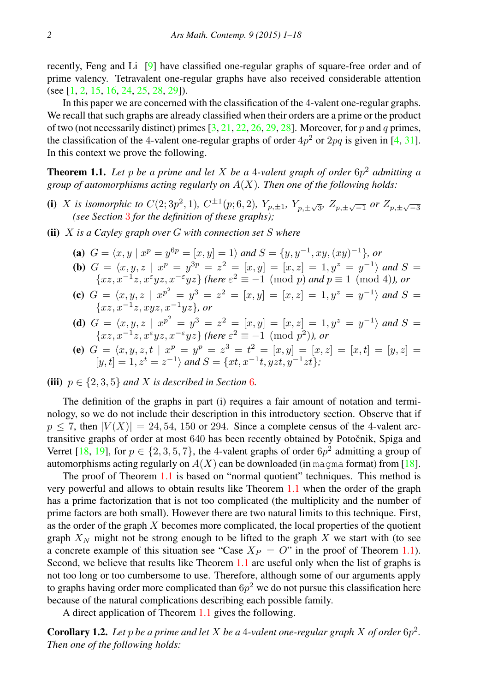recently, Feng and Li [\[9\]](#page-16-8) have classified one-regular graphs of square-free order and of prime valency. Tetravalent one-regular graphs have also received considerable attention (see [\[1,](#page-16-9) [2,](#page-16-10) [15,](#page-16-11) [16,](#page-16-12) [24,](#page-17-1) [25,](#page-17-2) [28,](#page-17-3) [29\]](#page-17-4)).

In this paper we are concerned with the classification of the 4-valent one-regular graphs. We recall that such graphs are already classified when their orders are a prime or the product of two (not necessarily distinct) primes  $[3, 21, 22, 26, 29, 28]$  $[3, 21, 22, 26, 29, 28]$  $[3, 21, 22, 26, 29, 28]$  $[3, 21, 22, 26, 29, 28]$  $[3, 21, 22, 26, 29, 28]$  $[3, 21, 22, 26, 29, 28]$  $[3, 21, 22, 26, 29, 28]$  $[3, 21, 22, 26, 29, 28]$  $[3, 21, 22, 26, 29, 28]$  $[3, 21, 22, 26, 29, 28]$  $[3, 21, 22, 26, 29, 28]$ . Moreover, for p and q primes, the classification of the 4-valent one-regular graphs of order  $4p^2$  or  $2pq$  is given in [\[4,](#page-16-16) [31\]](#page-17-6). In this context we prove the following.

<span id="page-1-0"></span>Theorem 1.1. *Let* p *be a prime and let* X *be a* 4*-valent graph of order* 6p <sup>2</sup> *admitting a group of automorphisms acting regularly on* A(X)*. Then one of the following holds:*

- (i) *X* is isomorphic to  $C(2; 3p^2, 1)$  $C(2; 3p^2, 1)$  $C(2; 3p^2, 1)$ ,  $C^{\pm 1}(p; 6, 2)$ ,  $Y_{p,\pm 1}$ ,  $Y_{p,\pm \sqrt{3}}$ ,  $Z_{p,\pm \sqrt{-1}}$  or  $Z_{p,\pm \sqrt{-3}}$  *(see Section 3 for the definition of these graphs);*
- (ii) X *is a Cayley graph over* G *with connection set* S *where*
	- (a)  $G = \langle x, y | x^p = y^{6p} = [x, y] = 1 \rangle$  and  $S = \{y, y^{-1}, xy, (xy)^{-1}\},$  or

**(b)** 
$$
G = \langle x, y, z \mid x^p = y^{3p} = z^2 = [x, y] = [x, z] = 1, y^z = y^{-1} \rangle
$$
 and  $S = \{xz, x^{-1}z, x^{\varepsilon}yz, x^{-\varepsilon}yz\}$  (here  $\varepsilon^2 \equiv -1 \pmod{p}$  and  $p \equiv 1 \pmod{4}$ ), or

(c)  $G = \langle x, y, z \mid x^{p^2} = y^3 = z^2 = [x, y] = [x, z] = 1, y^z = y^{-1} \rangle$  and  $S =$ {xz, x<sup>−</sup><sup>1</sup> z, xyz, x<sup>−</sup>1yz}*, or*

(d) 
$$
G = \langle x, y, z \mid x^{p^2} = y^3 = z^2 = [x, y] = [x, z] = 1, y^z = y^{-1} \rangle
$$
 and  $S = \{xz, x^{-1}z, x^{\varepsilon}yz, x^{-\varepsilon}yz\}$  (here  $\varepsilon^2 \equiv -1 \pmod{p^2}$ ), or

(e) 
$$
G = \langle x, y, z, t \mid x^p = y^p = z^3 = t^2 = [x, y] = [x, z] = [x, t] = [y, z] = [y, t] = 1, z^t = z^{-1}
$$
 and  $S = \{xt, x^{-1}t, yzt, y^{-1}zt\}$ ;

#### (iii)  $p \in \{2, 3, 5\}$  *and* X *is described in Section* [6](#page-14-0)*.*

The definition of the graphs in part (i) requires a fair amount of notation and terminology, so we do not include their description in this introductory section. Observe that if  $p \le 7$ , then  $|V(X)| = 24, 54, 150$  or 294. Since a complete census of the 4-valent arctransitive graphs of order at most 640 has been recently obtained by Potočnik, Spiga and Verret [\[18,](#page-16-17) [19\]](#page-16-5), for  $p \in \{2, 3, 5, 7\}$ , the 4-valent graphs of order  $6p^2$  admitting a group of automorphisms acting regularly on  $A(X)$  can be downloaded (in magma format) from [\[18\]](#page-16-17).

The proof of Theorem [1.1](#page-1-0) is based on "normal quotient" techniques. This method is very powerful and allows to obtain results like Theorem [1.1](#page-1-0) when the order of the graph has a prime factorization that is not too complicated (the multiplicity and the number of prime factors are both small). However there are two natural limits to this technique. First, as the order of the graph X becomes more complicated, the local properties of the quotient graph  $X_N$  might not be strong enough to be lifted to the graph X we start with (to see a concrete example of this situation see "Case  $X_P = O$ " in the proof of Theorem [1.1\)](#page-1-0). Second, we believe that results like Theorem [1.1](#page-1-0) are useful only when the list of graphs is not too long or too cumbersome to use. Therefore, although some of our arguments apply to graphs having order more complicated than  $6p^2$  we do not pursue this classification here because of the natural complications describing each possible family.

A direct application of Theorem [1.1](#page-1-0) gives the following.

<span id="page-1-1"></span>**Corollary 1.2.** Let p be a prime and let X be a 4-valent one-regular graph X of order  $6p^2$ . *Then one of the following holds:*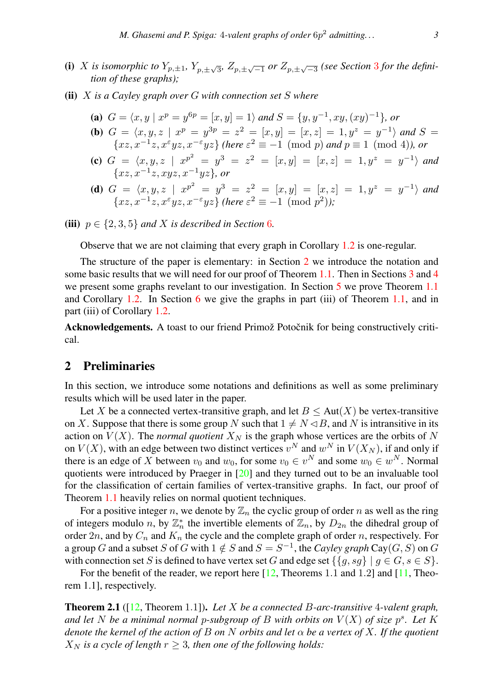- (i) X is isomorphic to  $Y_{p,\pm 1}$ ,  $Y_{p,\pm \sqrt{3}}$  $Y_{p,\pm \sqrt{3}}$  $Y_{p,\pm \sqrt{3}}$ ,  $Z_{p,\pm \sqrt{-1}}$  or  $Z_{p,\pm \sqrt{-3}}$  (see Section 3 for the defini*tion of these graphs);*
- (ii) X *is a Cayley graph over* G *with connection set* S *where*
	- (a)  $G = \langle x, y | x^p = y^{6p} = [x, y] = 1 \rangle$  and  $S = \{y, y^{-1}, xy, (xy)^{-1}\},$  or (**b**)  $G = \langle x, y, z \mid x^p = y^{3p} = z^2 = [x, y] = [x, z] = 1, y^z = y^{-1} \rangle$  and  $S =$
	- ${x,z, x^{-1}z, x^{\varepsilon}yz, x^{-\varepsilon}yz}$  *(here*  $\varepsilon^2 \equiv -1 \pmod{p}$  *and*  $p \equiv 1 \pmod{4}$ *), or* (c)  $G = \langle x, y, z \mid x^{p^2} = y^3 = z^2 = [x, y] = [x, z] = 1, y^z = y^{-1} \rangle$  and {xz, x<sup>−</sup><sup>1</sup> z, xyz, x<sup>−</sup>1yz}*, or*
	- (d)  $G = \langle x, y, z \mid x^{p^2} = y^3 = z^2 = [x, y] = [x, z] = 1, y^z = y^{-1} \rangle$  and  $\{xz, x^{-1}z, x^{\varepsilon}yz, x^{-\varepsilon}yz\}$  (here  $\varepsilon^2 \equiv -1 \pmod{p^2}$ );
- (iii)  $p \in \{2, 3, 5\}$  *and* X *is described in Section* [6](#page-14-0)*.*

Observe that we are not claiming that every graph in Corollary [1.2](#page-1-1) is one-regular.

The structure of the paper is elementary: in Section [2](#page-2-0) we introduce the notation and some basic results that we will need for our proof of Theorem [1.1.](#page-1-0) Then in Sections [3](#page-3-0) and [4](#page-6-0) we present some graphs revelant to our investigation. In Section [5](#page-10-0) we prove Theorem [1.1](#page-1-0) and Corollary [1.2.](#page-1-1) In Section [6](#page-14-0) we give the graphs in part (iii) of Theorem [1.1,](#page-1-0) and in part (iii) of Corollary [1.2.](#page-1-1)

Acknowledgements. A toast to our friend Primož Potočnik for being constructively critical.

# <span id="page-2-0"></span>2 Preliminaries

In this section, we introduce some notations and definitions as well as some preliminary results which will be used later in the paper.

Let X be a connected vertex-transitive graph, and let  $B \leq Aut(X)$  be vertex-transitive on X. Suppose that there is some group N such that  $1 \neq N \leq B$ , and N is intransitive in its action on  $V(X)$ . The *normal quotient*  $X_N$  is the graph whose vertices are the orbits of N on  $V(X)$ , with an edge between two distinct vertices  $v^N$  and  $w^N$  in  $V(X_N)$ , if and only if there is an edge of X between  $v_0$  and  $w_0$ , for some  $v_0 \in v^N$  and some  $w_0 \in w^N$ . Normal quotients were introduced by Praeger in [\[20\]](#page-16-18) and they turned out to be an invaluable tool for the classification of certain families of vertex-transitive graphs. In fact, our proof of Theorem [1.1](#page-1-0) heavily relies on normal quotient techniques.

For a positive integer n, we denote by  $\mathbb{Z}_n$  the cyclic group of order n as well as the ring of integers modulo n, by  $\mathbb{Z}_n^*$  the invertible elements of  $\mathbb{Z}_n$ , by  $D_{2n}$  the dihedral group of order  $2n$ , and by  $C_n$  and  $K_n$  the cycle and the complete graph of order n, respectively. For a group G and a subset S of G with  $1 \notin S$  and  $S = S^{-1}$ , the *Cayley graph* Cay(G, S) on G with connection set S is defined to have vertex set G and edge set  $\{\{g, sg\} \mid g \in G, s \in S\}$ .

For the benefit of the reader, we report here [\[12,](#page-16-19) Theorems 1.1 and 1.2] and [\[11,](#page-16-20) Theorem 1.1], respectively.

<span id="page-2-1"></span>Theorem 2.1 ([\[12,](#page-16-19) Theorem 1.1]). *Let* X *be a connected* B*-arc-transitive* 4*-valent graph,* and let N be a minimal normal p-subgroup of B with orbits on  $V(X)$  of size  $p^s$ . Let K *denote the kernel of the action of* B *on* N *orbits and let* α *be a vertex of* X*. If the quotient*  $X_N$  *is a cycle of length*  $r \geq 3$ *, then one of the following holds:*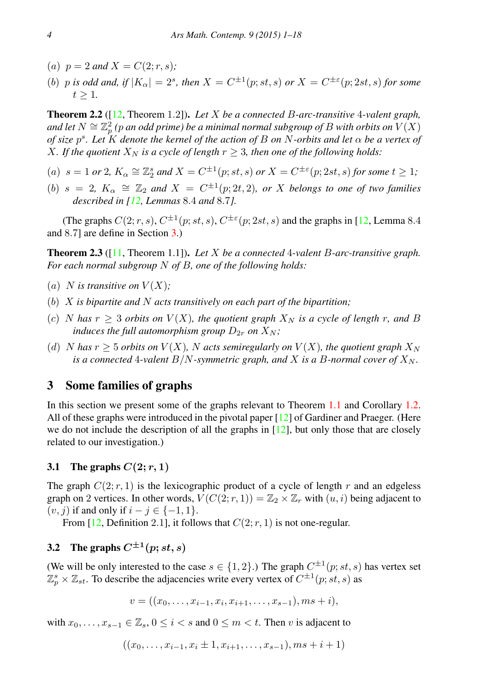- (a)  $p = 2$  *and*  $X = C(2; r, s)$ ;
- (b) p is odd and, if  $|K_{\alpha}| = 2^s$ , then  $X = C^{\pm 1}(p; st, s)$  or  $X = C^{\pm \varepsilon}(p; 2st, s)$  for some  $t \geq 1$ .

<span id="page-3-2"></span>Theorem 2.2 ([\[12,](#page-16-19) Theorem 1.2]). *Let* X *be a connected* B*-arc-transitive* 4*-valent graph,* and let  $N \cong \mathbb{Z}_p^2$  (p an odd prime) be a minimal normal subgroup of  $B$  with orbits on  $V(X)$ *of size* p s *. Let* K *denote the kernel of the action of* B *on* N*-orbits and let* α *be a vertex of* X. If the quotient  $X_N$  is a cycle of length  $r > 3$ , then one of the following holds:

- (a)  $s = 1$  *or* 2,  $K_{\alpha} \cong \mathbb{Z}_2^s$  *and*  $X = C^{\pm 1}(p; st, s)$  *or*  $X = C^{\pm \varepsilon}(p; 2st, s)$  *for some*  $t \ge 1$ *;*
- (b)  $s = 2$ ,  $K_{\alpha} \cong \mathbb{Z}_2$  and  $X = C^{\pm 1}(p; 2t, 2)$ , or X belongs to one of two families *described in [\[12,](#page-16-19) Lemmas* 8.4 *and* 8.7*].*

(The graphs  $C(2; r, s)$ ,  $C^{\pm 1}(p; st, s)$ ,  $C^{\pm \varepsilon}(p; 2st, s)$  and the graphs in [\[12,](#page-16-19) Lemma 8.4] and 8.7] are define in Section [3.](#page-3-0))

<span id="page-3-3"></span>Theorem 2.3 ([\[11,](#page-16-20) Theorem 1.1]). *Let* X *be a connected* 4*-valent* B*-arc-transitive graph. For each normal subgroup* N *of* B*, one of the following holds:*

- (a) *N* is transitive on  $V(X)$ ;
- (b) X *is bipartite and* N *acts transitively on each part of the bipartition;*
- (c) N has  $r > 3$  orbits on  $V(X)$ , the quotient graph  $X_N$  is a cycle of length r, and B *induces the full automorphism group*  $D_{2r}$  *on*  $X_N$ *;*
- (d) N has  $r > 5$  orbits on  $V(X)$ , N acts semiregularly on  $V(X)$ , the quotient graph  $X_N$ *is a connected* 4-valent  $B/N$ -symmetric graph, and X is a B-normal cover of  $X_N$ .

## <span id="page-3-0"></span>3 Some families of graphs

In this section we present some of the graphs relevant to Theorem [1.1](#page-1-0) and Corollary [1.2.](#page-1-1) All of these graphs were introduced in the pivotal paper [\[12\]](#page-16-19) of Gardiner and Praeger. (Here we do not include the description of all the graphs in  $[12]$ , but only those that are closely related to our investigation.)

#### <span id="page-3-4"></span>3.1 The graphs  $C(2; r, 1)$

The graph  $C(2; r, 1)$  is the lexicographic product of a cycle of length r and an edgeless graph on 2 vertices. In other words,  $V(C(2; r, 1)) = \mathbb{Z}_2 \times \mathbb{Z}_r$  with  $(u, i)$  being adjacent to  $(v, j)$  if and only if  $i - j \in \{-1, 1\}.$ 

From [\[12,](#page-16-19) Definition 2.1], it follows that  $C(2; r, 1)$  is not one-regular.

# <span id="page-3-1"></span>3.2 The graphs  $C^{\pm 1}(p; st, s)$

(We will be only interested to the case  $s \in \{1,2\}$ .) The graph  $C^{\pm 1}(p; st, s)$  has vertex set  $\mathbb{Z}_p^s \times \mathbb{Z}_{st}$ . To describe the adjacencies write every vertex of  $C^{\pm 1}(p; st, s)$  as

$$
v = ((x_0, \ldots, x_{i-1}, x_i, x_{i+1}, \ldots, x_{s-1}), ms + i),
$$

with  $x_0, \ldots, x_{s-1} \in \mathbb{Z}_s$ ,  $0 \leq i < s$  and  $0 \leq m < t$ . Then v is adjacent to

$$
((x_0, \ldots, x_{i-1}, x_i \pm 1, x_{i+1}, \ldots, x_{s-1}), ms + i + 1)
$$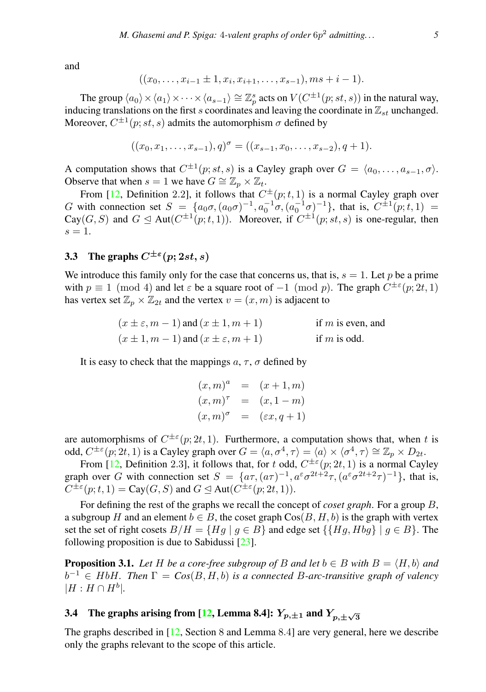and

$$
((x_0,\ldots,x_{i-1}\pm 1,x_i,x_{i+1},\ldots,x_{s-1}),ms+i-1).
$$

The group  $\langle a_0\rangle \times \langle a_1\rangle \times \cdots \times \langle a_{s-1}\rangle \cong \mathbb{Z}_p^s$  acts on  $V(C^{\pm 1}(p; st, s))$  in the natural way, inducing translations on the first s coordinates and leaving the coordinate in  $\mathbb{Z}_{st}$  unchanged. Moreover,  $C^{\pm 1}(p; st, s)$  admits the automorphism  $\sigma$  defined by

$$
((x_0, x_1, \ldots, x_{s-1}), q)^{\sigma} = ((x_{s-1}, x_0, \ldots, x_{s-2}), q+1).
$$

A computation shows that  $C^{\pm 1}(p; st, s)$  is a Cayley graph over  $G = \langle a_0, \ldots, a_{s-1}, \sigma \rangle$ . Observe that when  $s = 1$  we have  $G \cong \mathbb{Z}_p \times \mathbb{Z}_t$ .

From [\[12,](#page-16-19) Definition 2.2], it follows that  $C^{\pm}(p;t,1)$  is a normal Cayley graph over G with connection set  $S = \{a_0\sigma, (a_0\sigma)^{-1}, a_0^{-1}\sigma, (a_0^{-1}\sigma)^{-1}\}\$ , that is,  $C^{\pm 1}(p;t,1) =$ Cay(G, S) and  $G \trianglelefteq \text{Aut}(C^{\pm 1}(p;t,1))$ . Moreover, if  $C^{\pm 1}(p; st, s)$  is one-regular, then  $s=1.$ 

# <span id="page-4-2"></span>3.3 The graphs  $C^{\pm\epsilon}(p; 2st, s)$

We introduce this family only for the case that concerns us, that is,  $s = 1$ . Let p be a prime with  $p \equiv 1 \pmod{4}$  and let  $\varepsilon$  be a square root of  $-1 \pmod{p}$ . The graph  $C^{\pm \varepsilon}(p; 2t, 1)$ has vertex set  $\mathbb{Z}_p \times \mathbb{Z}_{2t}$  and the vertex  $v = (x, m)$  is adjacent to

$$
(x \pm \varepsilon, m-1)
$$
 and  $(x \pm 1, m+1)$  if *m* is even, and  
\n $(x \pm 1, m-1)$  and  $(x \pm \varepsilon, m+1)$  if *m* is odd.

It is easy to check that the mappings  $a, \tau, \sigma$  defined by

$$
(x,m)^a
$$
 =  $(x+1,m)$   
\n $(x,m)^{\tau}$  =  $(x,1-m)$   
\n $(x,m)^{\sigma}$  =  $(\varepsilon x, q+1)$ 

are automorphisms of  $C^{\pm\epsilon}(p; 2t, 1)$ . Furthermore, a computation shows that, when t is odd,  $C^{\pm \varepsilon}(p; 2t, 1)$  is a Cayley graph over  $G = \langle a, \sigma^4, \tau \rangle = \langle a \rangle \times \langle \sigma^4, \tau \rangle \cong \mathbb{Z}_p \times D_{2t}$ .

From [\[12,](#page-16-19) Definition 2.3], it follows that, for t odd,  $C^{\pm\epsilon}(p; 2t, 1)$  is a normal Cayley graph over G with connection set  $S = \{a\tau, (a\tau)^{-1}, a^{\varepsilon}\sigma^{2t+2}\tau, (a^{\varepsilon}\sigma^{2t+2}\tau)^{-1}\}\$ , that is,  $C^{\pm\epsilon}(p;t,1) = \text{Cay}(G, S)$  and  $G \trianglelefteq \text{Aut}(C^{\pm\epsilon}(p; 2t, 1)).$ 

For defining the rest of the graphs we recall the concept of *coset graph*. For a group B, a subgroup H and an element  $b \in B$ , the coset graph  $\text{Cos}(B, H, b)$  is the graph with vertex set the set of right cosets  $B/H = \{Hg \mid g \in B\}$  and edge set  $\{\{Hg, Hbg\} \mid g \in B\}$ . The following proposition is due to Sabidussi [\[23\]](#page-16-21).

<span id="page-4-0"></span>**Proposition 3.1.** Let H be a core-free subgroup of B and let  $b \in B$  with  $B = \langle H, b \rangle$  and  $b^{-1} \in H bH$ . Then  $\Gamma = \text{Cos}(B, H, b)$  is a connected B-arc-transitive graph of valency  $|H: H \cap H^b|$ .

# <span id="page-4-1"></span>3.4 The graphs arising from [\[12,](#page-16-19) Lemma 8.4]:  $Y_{p,\pm 1}$  and  $Y_{p,\pm \sqrt{3}}$

The graphs described in [\[12,](#page-16-19) Section 8 and Lemma 8.4] are very general, here we describe only the graphs relevant to the scope of this article.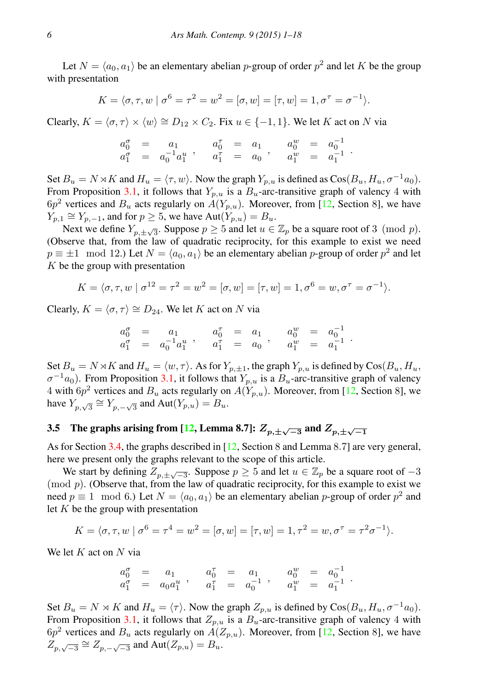Let  $N = \langle a_0, a_1 \rangle$  be an elementary abelian p-group of order  $p^2$  and let K be the group with presentation

$$
K = \langle \sigma, \tau, w \mid \sigma^6 = \tau^2 = w^2 = [\sigma, w] = [\tau, w] = 1, \sigma^{\tau} = \sigma^{-1} \rangle.
$$

Clearly,  $K = \langle \sigma, \tau \rangle \times \langle w \rangle \cong D_{12} \times C_2$ . Fix  $u \in \{-1, 1\}$ . We let K act on N via

$$
\begin{array}{ccccccccc} a^{\sigma}_0 & = & a_1 & a^{\tau}_0 & = & a_1 & a^w_0 & = & a^{-1}_0 \\ a^{\sigma}_1 & = & a^{-1}_0 a^u_1 & a^{\tau}_1 & = & a_0 & a^u_1 & = & a^{-1}_1 \end{array}.
$$

Set  $B_u = N \rtimes K$  and  $H_u = \langle \tau, w \rangle$ . Now the graph  $Y_{p,u}$  is defined as  $Cos(B_u, H_u, \sigma^{-1}a_0)$ . From Proposition [3.1,](#page-4-0) it follows that  $Y_{p,u}$  is a  $B_u$ -arc-transitive graph of valency 4 with  $6p<sup>2</sup>$  vertices and  $B_u$  acts regularly on  $A(Y_{p,u})$ . Moreover, from [\[12,](#page-16-19) Section 8], we have  $Y_{p,1} \cong Y_{p,-1}$ , and for  $p \ge 5$ , we have  $Aut(Y_{p,u}) = B_u$ .

Next we define  $Y_{p,\pm\sqrt{3}}$ . Suppose  $p \ge 5$  and let  $u \in \mathbb{Z}_p$  be a square root of 3 (mod p). (Observe that, from the law of quadratic reciprocity, for this example to exist we need  $p \equiv \pm 1 \mod 12$ .) Let  $N = \langle a_0, a_1 \rangle$  be an elementary abelian p-group of order  $p^2$  and let  $K$  be the group with presentation

$$
K = \langle \sigma, \tau, w \mid \sigma^{12} = \tau^2 = w^2 = [\sigma, w] = [\tau, w] = 1, \sigma^6 = w, \sigma^7 = \sigma^{-1} \rangle.
$$

Clearly,  $K = \langle \sigma, \tau \rangle \cong D_{24}$ . We let K act on N via

$$
\begin{array}{ccccccccc} a^{\sigma}_0 & = & a_1 & & a^{\tau}_0 & = & a_1 & & a^w_0 & = & a^{-1}_0 \\ a^{\sigma}_1 & = & a^{-1}_0 a^u_1 & & a^{\tau}_1 & = & a_0 & & a^w_1 & = & a^{-1}_1 \end{array}.
$$

Set  $B_u = N \rtimes K$  and  $H_u = \langle w, \tau \rangle$ . As for  $Y_{p,\pm 1}$ , the graph  $Y_{p,u}$  is defined by  $\cos(B_u, H_u)$  $\sigma^{-1}a_0$ ). From Proposition [3.1,](#page-4-0) it follows that  $Y_{p,u}$  is a  $B_u$ -arc-transitive graph of valency 4 with  $6p^2$  vertices and  $B_u$  acts regularly on  $A(Y_{p,u})$ . Moreover, from [\[12,](#page-16-19) Section 8], we have  $Y_{p,\sqrt{3}} \cong Y_{p,-\sqrt{3}}$  and  $Aut(Y_{p,u}) = B_u$ .

# <span id="page-5-0"></span>3.5 The graphs arising from [\[12,](#page-16-19) Lemma 8.7]:  $Z_{p,\pm\sqrt{-3}}$  and  $Z_{p,\pm\sqrt{-1}}$

As for Section [3.4,](#page-4-1) the graphs described in [\[12,](#page-16-19) Section 8 and Lemma 8.7] are very general, here we present only the graphs relevant to the scope of this article.

We start by defining  $Z_{p,\pm\sqrt{-3}}$ . Suppose  $p \ge 5$  and let  $u \in \mathbb{Z}_p$  be a square root of  $-3$  $\pmod{p}$ . (Observe that, from the law of quadratic reciprocity, for this example to exist we need  $p \equiv 1 \mod 6$ .) Let  $N = \langle a_0, a_1 \rangle$  be an elementary abelian p-group of order  $p^2$  and let  $K$  be the group with presentation

$$
K = \langle \sigma, \tau, w \mid \sigma^6 = \tau^4 = w^2 = [\sigma, w] = [\tau, w] = 1, \tau^2 = w, \sigma^{\tau} = \tau^2 \sigma^{-1} \rangle.
$$

We let  $K$  act on  $N$  via

$$
\begin{array}{ccccccccc} a^{\sigma}_0 & = & a_1 & & a^{\tau}_0 & = & a_1 & & a^w_0 & = & a^{-1}_0 \\ a^{\sigma}_1 & = & a_0a^u_1 & & a^{\tau}_1 & = & a^{-1}_0 & & a^w_1 & = & a^{-1}_1 \end{array}.
$$

Set  $B_u = N \rtimes K$  and  $H_u = \langle \tau \rangle$ . Now the graph  $Z_{n,u}$  is defined by  $\cos(B_u, H_u, \sigma^{-1}a_0)$ . From Proposition [3.1,](#page-4-0) it follows that  $Z_{p,u}$  is a  $B_u$ -arc-transitive graph of valency 4 with  $6p<sup>2</sup>$  vertices and  $B_u$  acts regularly on  $A(Z_{p,u})$ . Moreover, from [\[12,](#page-16-19) Section 8], we have  $Z_{p,\sqrt{-3}} \cong Z_{p,-\sqrt{-3}}$  and  $\text{Aut}(Z_{p,u}) = B_u$ .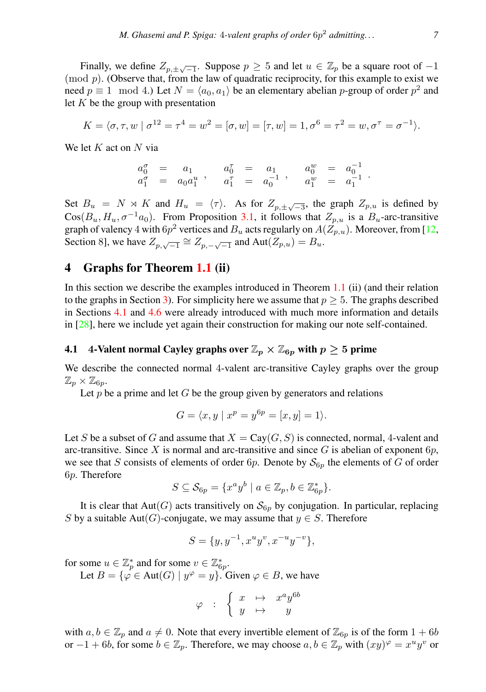Finally, we define  $Z_{p, \pm \sqrt{-1}}$ . Suppose  $p \ge 5$  and let  $u \in \mathbb{Z}_p$  be a square root of  $-1$  $\pmod{p}$ . (Observe that, from the law of quadratic reciprocity, for this example to exist we need  $p \equiv 1 \mod 4$ .) Let  $N = \langle a_0, a_1 \rangle$  be an elementary abelian p-group of order  $p^2$  and let  $K$  be the group with presentation

$$
K = \langle \sigma, \tau, w \mid \sigma^{12} = \tau^4 = w^2 = [\sigma, w] = [\tau, w] = 1, \sigma^6 = \tau^2 = w, \sigma^7 = \sigma^{-1} \rangle.
$$

We let  $K$  act on  $N$  via

$$
\begin{array}{ccccccccc} a^{\sigma}_0 & = & a_1 & & a^{\tau}_0 & = & a_1 & & a^w_0 & = & a^{-1}_0 \\ a^{\sigma}_1 & = & a_0a^u_1 & & a^{\tau}_1 & = & a^{-1}_0 & & a^w_1 & = & a^{-1}_1 \end{array}.
$$

Set  $B_u = N \rtimes K$  and  $H_u = \langle \tau \rangle$ . As for  $Z_{p, \pm \sqrt{-3}}$ , the graph  $Z_{p, u}$  is defined by  $\cos(B_u, H_u, \sigma^{-1}a_0)$ . From Proposition [3.1,](#page-4-0) it follows that  $Z_{n,u}$  is a  $B_u$ -arc-transitive graph of valency  $4$  with  $6p^2$  vertices and  $B_u$  acts regularly on  $A(Z_{p,u})$ . Moreover, from [\[12,](#page-16-19) Section 8], we have  $Z_{p,\sqrt{-1}} \cong Z_{p,-\sqrt{-1}}$  and  $Aut(Z_{p,u}) = B_u$ .

## <span id="page-6-0"></span>4 Graphs for Theorem [1.1](#page-1-0) (ii)

In this section we describe the examples introduced in Theorem [1.1](#page-1-0) (ii) (and their relation to the graphs in Section [3\)](#page-3-0). For simplicity here we assume that  $p \geq 5$ . The graphs described in Sections [4.1](#page-6-1) and [4.6](#page-10-1) were already introduced with much more information and details in [\[28\]](#page-17-3), here we include yet again their construction for making our note self-contained.

#### <span id="page-6-1"></span>4.1 4-Valent normal Cayley graphs over  $\mathbb{Z}_p \times \mathbb{Z}_{6p}$  with  $p \geq 5$  prime

We describe the connected normal 4-valent arc-transitive Cayley graphs over the group  $\mathbb{Z}_p\times \mathbb{Z}_{6p}.$ 

Let  $p$  be a prime and let  $G$  be the group given by generators and relations

$$
G = \langle x, y \mid x^p = y^{6p} = [x, y] = 1 \rangle.
$$

Let S be a subset of G and assume that  $X = \text{Cay}(G, S)$  is connected, normal, 4-valent and arc-transitive. Since X is normal and arc-transitive and since  $G$  is abelian of exponent  $6p$ , we see that S consists of elements of order 6p. Denote by  $S_{6p}$  the elements of G of order 6p. Therefore

$$
S \subseteq \mathcal{S}_{6p} = \{x^a y^b \mid a \in \mathbb{Z}_p, b \in \mathbb{Z}_{6p}^*\}.
$$

It is clear that  $Aut(G)$  acts transitively on  $S_{6p}$  by conjugation. In particular, replacing S by a suitable Aut(G)-conjugate, we may assume that  $y \in S$ . Therefore

$$
S = \{y, y^{-1}, x^u y^v, x^{-u} y^{-v}\},\
$$

for some  $u \in \mathbb{Z}_p^*$  and for some  $v \in \mathbb{Z}_{6p}^*$ .

Let  $B = \{ \varphi \in \text{Aut}(G) \mid y^{\varphi} = y \}.$  Given  $\varphi \in B$ , we have

$$
\varphi\ \ :\ \ \left\{ \begin{array}{ccc} x & \mapsto & x^ay^{6b} \\ y & \mapsto & y \end{array} \right.
$$

with  $a, b \in \mathbb{Z}_p$  and  $a \neq 0$ . Note that every invertible element of  $\mathbb{Z}_{6p}$  is of the form  $1 + 6b$ or  $-1+6b$ , for some  $b \in \mathbb{Z}_p$ . Therefore, we may choose  $a, b \in \mathbb{Z}_p$  with  $(xy)^{\varphi} = x^u y^v$  or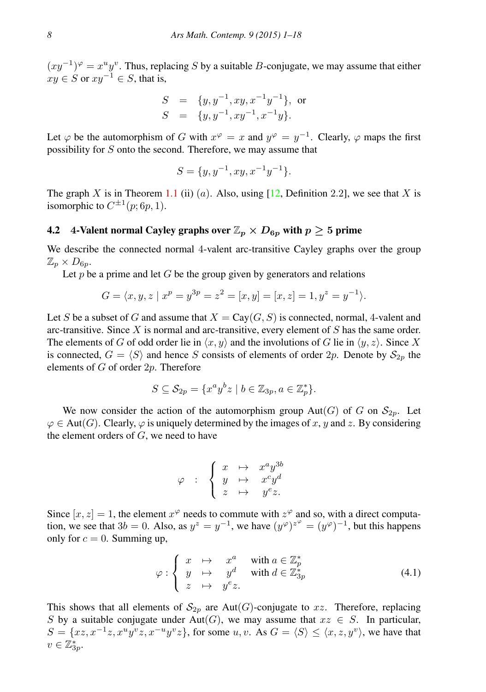$(xy^{-1})^{\varphi} = x^{\mu}y^{\nu}$ . Thus, replacing S by a suitable B-conjugate, we may assume that either  $xy \in S$  or  $xy^{-1} \in S$ , that is,

$$
S = \{y, y^{-1}, xy, x^{-1}y^{-1}\}, \text{ or }
$$
  

$$
S = \{y, y^{-1}, xy^{-1}, x^{-1}y\}.
$$

Let  $\varphi$  be the automorphism of G with  $x^{\varphi} = x$  and  $y^{\varphi} = y^{-1}$ . Clearly,  $\varphi$  maps the first possibility for S onto the second. Therefore, we may assume that

$$
S = \{y, y^{-1}, xy, x^{-1}y^{-1}\}.
$$

The graph X is in Theorem [1.1](#page-1-0) (ii) (a). Also, using  $[12,$  Definition 2.2], we see that X is isomorphic to  $C^{\pm 1}(p;6p,1)$ .

#### <span id="page-7-1"></span>4.2 4-Valent normal Cayley graphs over  $\mathbb{Z}_p \times D_{6p}$  with  $p \geq 5$  prime

We describe the connected normal 4-valent arc-transitive Cayley graphs over the group  $\mathbb{Z}_p\times D_{6p}.$ 

Let p be a prime and let G be the group given by generators and relations

$$
G = \langle x, y, z \mid x^p = y^{3p} = z^2 = [x, y] = [x, z] = 1, y^z = y^{-1} \rangle.
$$

Let S be a subset of G and assume that  $X = Cay(G, S)$  is connected, normal, 4-valent and arc-transitive. Since  $X$  is normal and arc-transitive, every element of  $S$  has the same order. The elements of G of odd order lie in  $\langle x, y \rangle$  and the involutions of G lie in  $\langle y, z \rangle$ . Since X is connected,  $G = \langle S \rangle$  and hence S consists of elements of order 2p. Denote by  $S_{2p}$  the elements of G of order 2p. Therefore

$$
S \subseteq \mathcal{S}_{2p} = \{x^a y^b z \mid b \in \mathbb{Z}_{3p}, a \in \mathbb{Z}_p^*\}.
$$

We now consider the action of the automorphism group  $Aut(G)$  of G on  $S_{2p}$ . Let  $\varphi \in$  Aut(G). Clearly,  $\varphi$  is uniquely determined by the images of x, y and z. By considering the element orders of  $G$ , we need to have

$$
\varphi \quad : \quad \left\{ \begin{array}{ccc} x & \mapsto & x^ay^{3b} \\ y & \mapsto & x^cy^d \\ z & \mapsto & y^ez. \end{array} \right.
$$

Since  $[x, z] = 1$ , the element  $x^{\varphi}$  needs to commute with  $z^{\varphi}$  and so, with a direct computation, we see that  $3b = 0$ . Also, as  $y^z = y^{-1}$ , we have  $(y^\varphi)^{z^\varphi} = (y^\varphi)^{-1}$ , but this happens only for  $c = 0$ . Summing up,

<span id="page-7-0"></span>
$$
\varphi : \begin{cases} x \mapsto x^a & \text{with } a \in \mathbb{Z}_p^* \\ y \mapsto y^d & \text{with } d \in \mathbb{Z}_{3p}^* \\ z \mapsto y^e z. \end{cases}
$$
(4.1)

This shows that all elements of  $S_{2n}$  are Aut(G)-conjugate to xz. Therefore, replacing S by a suitable conjugate under Aut(G), we may assume that  $xz \in S$ . In particular,  $S = \{xz, x^{-1}z, x^u y^v z, x^{-u} y^v z\}$ , for some  $u, v$ . As  $G = \langle S \rangle \leq \langle x, z, y^v \rangle$ , we have that  $v \in \mathbb{Z}_{3p}^*$ .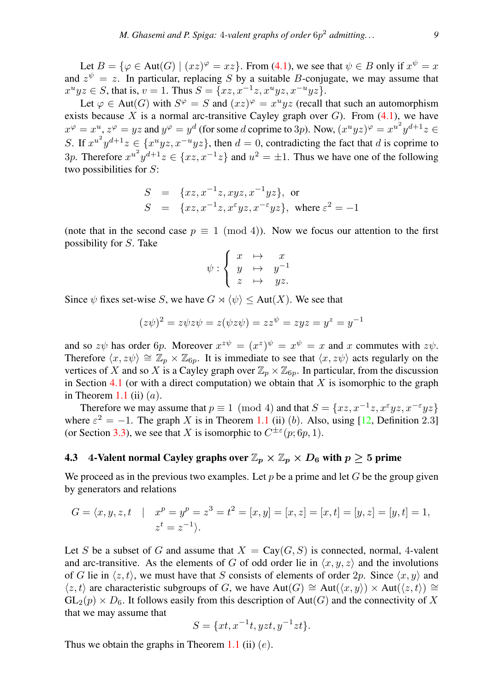Let  $B = \{ \varphi \in Aut(G) \mid (xz)^{\varphi} = xz \}.$  From [\(4.1\)](#page-7-0), we see that  $\psi \in B$  only if  $x^{\psi} = x$ and  $z^{\psi} = z$ . In particular, replacing S by a suitable B-conjugate, we may assume that  $x^u yz \in S$ , that is,  $v = 1$ . Thus  $S = \{xz, x^{-1}z, x^u yz, x^{-u}yz\}$ .

Let  $\varphi \in \text{Aut}(G)$  with  $S^{\varphi} = S$  and  $(xz)^{\varphi} = x^u yz$  (recall that such an automorphism exists because X is a normal arc-transitive Cayley graph over  $G$ ). From [\(4.1\)](#page-7-0), we have  $x^{\varphi} = x^u, z^{\varphi} = yz$  and  $y^{\varphi} = y^d$  (for some d coprime to 3p). Now,  $(x^u yz)^{\varphi} = x^{u^2}y^{d+1}z \in$ S. If  $x^{u^2}y^{d+1}z \in \{x^u yz, x^{-u}yz\}$ , then  $d = 0$ , contradicting the fact that d is coprime to 3p. Therefore  $x^{u^2}y^{d+1}z \in \{xz, x^{-1}z\}$  and  $u^2 = \pm 1$ . Thus we have one of the following two possibilities for  $S$ :

$$
S = \{xz, x^{-1}z, xyz, x^{-1}yz\}, \text{ or}
$$
  
\n
$$
S = \{xz, x^{-1}z, x^{\epsilon}yz, x^{-\epsilon}yz\}, \text{ where } \epsilon^2 = -1
$$

(note that in the second case  $p \equiv 1 \pmod{4}$ ). Now we focus our attention to the first possibility for S. Take

$$
\psi : \left\{ \begin{array}{ccc} x & \mapsto & x \\ y & \mapsto & y^{-1} \\ z & \mapsto & yz. \end{array} \right.
$$

Since  $\psi$  fixes set-wise S, we have  $G \rtimes \langle \psi \rangle \leq Aut(X)$ . We see that

$$
(z\psi)^2 = z\psi z\psi = z(\psi z\psi) = zz^{\psi} = zyz = y^z = y^{-1}
$$

and so  $z\psi$  has order 6p. Moreover  $x^{z\psi} = (x^z)^{\psi} = x^{\psi} = x$  and x commutes with  $z\psi$ . Therefore  $\langle x, z\psi \rangle \cong \mathbb{Z}_p \times \mathbb{Z}_{6p}$ . It is immediate to see that  $\langle x, z\psi \rangle$  acts regularly on the vertices of X and so X is a Cayley graph over  $\mathbb{Z}_p \times \mathbb{Z}_{6p}$ . In particular, from the discussion in Section [4.1](#page-6-1) (or with a direct computation) we obtain that  $X$  is isomorphic to the graph in Theorem [1.1](#page-1-0) (ii)  $(a)$ .

Therefore we may assume that  $p \equiv 1 \pmod{4}$  and that  $S = \{xz, x^{-1}z, x^{\epsilon}yz, x^{-\epsilon}yz\}$ where  $\varepsilon^2 = -1$ . The graph X is in Theorem [1.1](#page-1-0) (ii) (b). Also, using [\[12,](#page-16-19) Definition 2.3] (or Section [3.3\)](#page-4-2), we see that X is isomorphic to  $C^{\pm\epsilon}(p;6p,1)$ .

# <span id="page-8-0"></span>4.3 4-Valent normal Cayley graphs over  $\mathbb{Z}_p\times \mathbb{Z}_p\times D_6$  with  $p\geq 5$  prime

We proceed as in the previous two examples. Let p be a prime and let G be the group given by generators and relations

$$
G = \langle x, y, z, t \mid x^p = y^p = z^3 = t^2 = [x, y] = [x, z] = [x, t] = [y, z] = [y, t] = 1,
$$
  

$$
z^t = z^{-1}.
$$

Let S be a subset of G and assume that  $X = Cay(G, S)$  is connected, normal, 4-valent and arc-transitive. As the elements of G of odd order lie in  $\langle x, y, z \rangle$  and the involutions of G lie in  $\langle z, t \rangle$ , we must have that S consists of elements of order  $2p$ . Since  $\langle x, y \rangle$  and  $\langle z, t \rangle$  are characteristic subgroups of G, we have Aut(G) ≅ Aut $(\langle x, y \rangle) \times$  Aut $(\langle z, t \rangle)$  ≅  $GL_2(p) \times D_6$ . It follows easily from this description of Aut(G) and the connectivity of X that we may assume that

$$
S = \{xt, x^{-1}t, yzt, y^{-1}zt\}.
$$

Thus we obtain the graphs in Theorem [1.1](#page-1-0) (ii)  $(e)$ .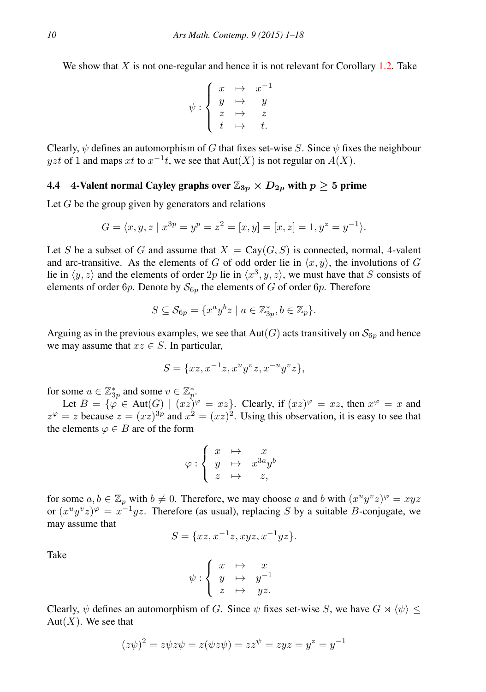We show that  $X$  is not one-regular and hence it is not relevant for Corollary [1.2.](#page-1-1) Take

$$
\psi : \left\{ \begin{array}{ccc} x & \mapsto & x^{-1} \\ y & \mapsto & y \\ z & \mapsto & z \\ t & \mapsto & t. \end{array} \right.
$$

Clearly,  $\psi$  defines an automorphism of G that fixes set-wise S. Since  $\psi$  fixes the neighbour yzt of 1 and maps xt to  $x^{-1}t$ , we see that  $Aut(X)$  is not regular on  $A(X)$ .

## <span id="page-9-0"></span>4.4 4-Valent normal Cayley graphs over  $\mathbb{Z}_{3p} \times D_{2p}$  with  $p \geq 5$  prime

Let  $G$  be the group given by generators and relations

$$
G = \langle x, y, z \mid x^{3p} = y^p = z^2 = [x, y] = [x, z] = 1, y^z = y^{-1} \rangle.
$$

Let S be a subset of G and assume that  $X = \text{Cay}(G, S)$  is connected, normal, 4-valent and arc-transitive. As the elements of G of odd order lie in  $\langle x, y \rangle$ , the involutions of G lie in  $\langle y, z \rangle$  and the elements of order  $2p$  lie in  $\langle x^3, y, z \rangle$ , we must have that S consists of elements of order 6p. Denote by  $S_{6p}$  the elements of G of order 6p. Therefore

$$
S \subseteq \mathcal{S}_{6p} = \{x^a y^b z \mid a \in \mathbb{Z}_{3p}^*, b \in \mathbb{Z}_p\}.
$$

Arguing as in the previous examples, we see that  $Aut(G)$  acts transitively on  $S_{6p}$  and hence we may assume that  $xz \in S$ . In particular,

$$
S = \{xz, x^{-1}z, x^uy^vz, x^{-u}y^vz\},\
$$

for some  $u \in \mathbb{Z}_{3p}^*$  and some  $v \in \mathbb{Z}_p^*$ .

Let  $B = \{ \varphi \in \text{Aut}(G) \mid (xz)^{\varphi} = xz \}.$  Clearly, if  $(xz)^{\varphi} = xz$ , then  $x^{\varphi} = x$  and  $z^{\varphi} = z$  because  $z = (xz)^{3p}$  and  $x^2 = (xz)^2$ . Using this observation, it is easy to see that the elements  $\varphi \in B$  are of the form

$$
\varphi : \left\{ \begin{array}{ccc} x & \mapsto & x \\ y & \mapsto & x^{3a}y^b \\ z & \mapsto & z, \end{array} \right.
$$

for some  $a, b \in \mathbb{Z}_p$  with  $b \neq 0$ . Therefore, we may choose a and b with  $(x^u y^v z)^{\varphi} = xyz$ or  $(x^u y^v z)^{\varphi} = x^{-1} yz$ . Therefore (as usual), replacing S by a suitable B-conjugate, we may assume that

$$
S = \{xz, x^{-1}z, xyz, x^{-1}yz\}.
$$

Take

$$
\psi : \left\{ \begin{array}{ccc} x & \mapsto & x \\ y & \mapsto & y^{-1} \\ z & \mapsto & yz. \end{array} \right.
$$

Clearly,  $\psi$  defines an automorphism of G. Since  $\psi$  fixes set-wise S, we have  $G \rtimes \langle \psi \rangle$  < Aut $(X)$ . We see that

$$
(z\psi)^2 = z\psi z\psi = z(\psi z\psi) = zz^{\psi} = zyz = y^z = y^{-1}
$$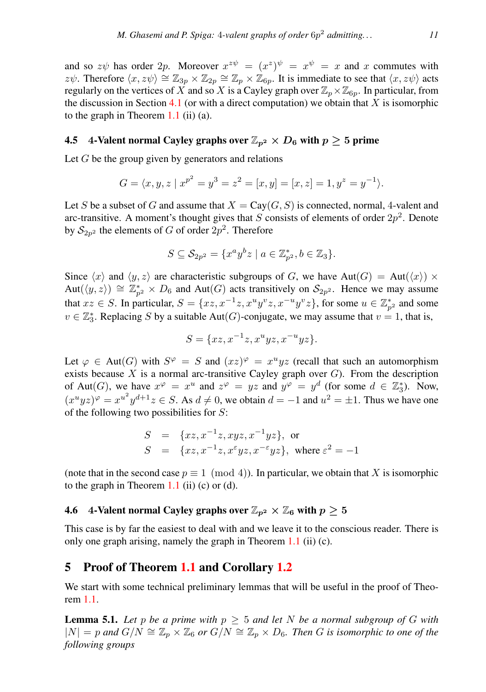and so  $z\psi$  has order 2p. Moreover  $x^{z\psi} = (x^z)^{\psi} = x^{\psi} = x$  and x commutes with z $\psi$ . Therefore  $\langle x, z\psi \rangle \cong \mathbb{Z}_{3p} \times \mathbb{Z}_{2p} \cong \mathbb{Z}_p \times \mathbb{Z}_{6p}$ . It is immediate to see that  $\langle x, z\psi \rangle$  acts regularly on the vertices of X and so X is a Cayley graph over  $\mathbb{Z}_p\times\mathbb{Z}_{6p}$ . In particular, from the discussion in Section [4.1](#page-6-1) (or with a direct computation) we obtain that  $X$  is isomorphic to the graph in Theorem  $1.1$  (ii) (a).

#### <span id="page-10-3"></span>4.5 4-Valent normal Cayley graphs over  $\mathbb{Z}_{p^2} \times D_6$  with  $p \geq 5$  prime

Let  $G$  be the group given by generators and relations

$$
G = \langle x, y, z \mid x^{p^2} = y^3 = z^2 = [x, y] = [x, z] = 1, y^z = y^{-1} \rangle.
$$

Let S be a subset of G and assume that  $X = \text{Cav}(G, S)$  is connected, normal, 4-valent and arc-transitive. A moment's thought gives that S consists of elements of order  $2p^2$ . Denote by  $\mathcal{S}_{2p^2}$  the elements of  $G$  of order  $2p^2$ . Therefore

$$
S \subseteq \mathcal{S}_{2p^2} = \{x^a y^b z \mid a \in \mathbb{Z}_{p^2}^*, b \in \mathbb{Z}_3\}.
$$

Since  $\langle x \rangle$  and  $\langle y, z \rangle$  are characteristic subgroups of G, we have Aut(G) = Aut( $\langle x \rangle$ )  $\times$ Aut $(\langle y, z \rangle) \cong \mathbb{Z}_{p^2}^* \times D_6$  and Aut $(G)$  acts transitively on  $\mathcal{S}_{2p^2}$ . Hence we may assume that  $xz \in S$ . In particular,  $S = \{xz, x^{-1}z, x^uy^vz, x^{-u}y^vz\}$ , for some  $u \in \mathbb{Z}_{p^2}^*$  and some  $v \in \mathbb{Z}_{3}^{*}$ . Replacing S by a suitable Aut(G)-conjugate, we may assume that  $v = 1$ , that is,

$$
S = \{xz, x^{-1}z, x^u yz, x^{-u} yz\}.
$$

Let  $\varphi \in \text{Aut}(G)$  with  $S^{\varphi} = S$  and  $(xz)^{\varphi} = x^u yz$  (recall that such an automorphism exists because  $X$  is a normal arc-transitive Cayley graph over  $G$ ). From the description of Aut(G), we have  $x^{\varphi} = x^u$  and  $z^{\varphi} = yz$  and  $y^{\varphi} = y^d$  (for some  $d \in \mathbb{Z}_3^*$ ). Now,  $(x^u yz)^\varphi = x^{u^2}y^{d+1}z \in S$ . As  $d \neq 0$ , we obtain  $d = -1$  and  $u^2 = \pm 1$ . Thus we have one of the following two possibilities for  $S$ :

$$
S = \{xz, x^{-1}z, xyz, x^{-1}yz\}, \text{ or}
$$
  
\n
$$
S = \{xz, x^{-1}z, x^{\epsilon}yz, x^{-\epsilon}yz\}, \text{ where } \epsilon^2 = -1
$$

(note that in the second case  $p \equiv 1 \pmod{4}$ ). In particular, we obtain that X is isomorphic to the graph in Theorem  $1.1$  (ii) (c) or (d).

#### <span id="page-10-1"></span>4.6 4-Valent normal Cayley graphs over  $\mathbb{Z}_{p^2}\times \mathbb{Z}_6$  with  $p\geq 5$

This case is by far the easiest to deal with and we leave it to the conscious reader. There is only one graph arising, namely the graph in Theorem [1.1](#page-1-0) (ii) (c).

## <span id="page-10-0"></span>5 Proof of Theorem [1.1](#page-1-0) and Corollary [1.2](#page-1-1)

We start with some technical preliminary lemmas that will be useful in the proof of Theorem [1.1.](#page-1-0)

<span id="page-10-2"></span>**Lemma 5.1.** Let p be a prime with  $p \geq 5$  and let N be a normal subgroup of G with  $|N| = p$  and  $G/N \cong \mathbb{Z}_p \times \mathbb{Z}_6$  or  $G/N \cong \mathbb{Z}_p \times D_6$ *. Then* G is isomorphic to one of the *following groups*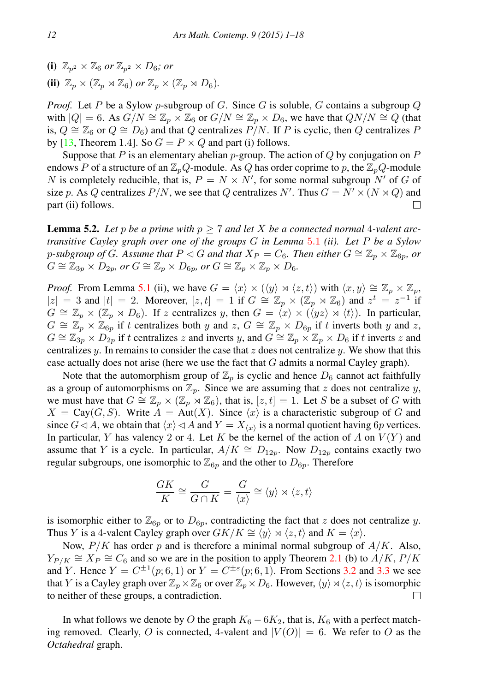(i)  $\mathbb{Z}_{n^2} \times \mathbb{Z}_6$  or  $\mathbb{Z}_{n^2} \times D_6$ ; or (ii)  $\mathbb{Z}_p \times (\mathbb{Z}_p \rtimes \mathbb{Z}_6)$  *or*  $\mathbb{Z}_p \times (\mathbb{Z}_p \rtimes D_6)$ *.* 

*Proof.* Let P be a Sylow p-subgroup of G. Since G is soluble, G contains a subgroup  $Q$ with  $|Q| = 6$ . As  $G/N \cong \mathbb{Z}_p \times \mathbb{Z}_6$  or  $G/N \cong \mathbb{Z}_p \times D_6$ , we have that  $QN/N \cong Q$  (that is,  $Q \cong \mathbb{Z}_6$  or  $Q \cong D_6$ ) and that Q centralizes P/N. If P is cyclic, then Q centralizes P by [\[13,](#page-16-22) Theorem 1.4]. So  $G = P \times Q$  and part (i) follows.

Suppose that P is an elementary abelian p-group. The action of Q by conjugation on P endows P of a structure of an  $\mathbb{Z}_pQ$ -module. As Q has order coprime to p, the  $\mathbb{Z}_pQ$ -module N is completely reducible, that is,  $P = N \times N'$ , for some normal subgroup N' of G of size p. As Q centralizes  $P/N$ , we see that Q centralizes N'. Thus  $G = N' \times (N \rtimes Q)$  and part (ii) follows. □

<span id="page-11-0"></span>**Lemma 5.2.** Let p be a prime with  $p \ge 7$  and let X be a connected normal 4-valent arc*transitive Cayley graph over one of the groups* G *in Lemma* [5](#page-10-2).1 *(ii). Let* P *be a Sylow* p-subgroup of G. Assume that  $P \triangleleft G$  and that  $X_P = C_6$ . Then either  $G \cong \mathbb{Z}_p \times \mathbb{Z}_{6p}$ , or  $G \cong \mathbb{Z}_{3p} \times D_{2p}$ , or  $G \cong \mathbb{Z}_p \times D_{6p}$ , or  $G \cong \mathbb{Z}_p \times \mathbb{Z}_p \times D_{6}$ .

*Proof.* From Lemma [5.1](#page-10-2) (ii), we have  $G = \langle x \rangle \times (\langle y \rangle \rtimes \langle z, t \rangle)$  with  $\langle x, y \rangle \cong \mathbb{Z}_p \times \mathbb{Z}_p$ ,  $|z| = 3$  and  $|t| = 2$ . Moreover,  $[z, t] = 1$  if  $G \cong \mathbb{Z}_p \times (\mathbb{Z}_p \rtimes \mathbb{Z}_6)$  and  $z^t = z^{-1}$  if  $G \cong \mathbb{Z}_p \times (\mathbb{Z}_p \rtimes D_6)$ . If z centralizes y, then  $G = \langle x \rangle \times (\langle yz \rangle \rtimes \langle t \rangle)$ . In particular,  $G \cong \mathbb{Z}_p \times \mathbb{Z}_{6p}$  if t centralizes both y and z,  $G \cong \mathbb{Z}_p \times D_{6p}$  if t inverts both y and z,  $G \cong \mathbb{Z}_{3p} \times D_{2p}$  if t centralizes z and inverts y, and  $G \cong \mathbb{Z}_p \times \mathbb{Z}_p \times D_6$  if t inverts z and centralizes y. In remains to consider the case that  $z$  does not centralize y. We show that this case actually does not arise (here we use the fact that  $G$  admits a normal Cayley graph).

Note that the automorphism group of  $\mathbb{Z}_p$  is cyclic and hence  $D_6$  cannot act faithfully as a group of automorphisms on  $\mathbb{Z}_p$ . Since we are assuming that z does not centralize y, we must have that  $G \cong \mathbb{Z}_p \times (\mathbb{Z}_p \rtimes \mathbb{Z}_6)$ , that is,  $[z, t] = 1$ . Let S be a subset of G with  $X = Cay(G, S)$ . Write  $A = Aut(X)$ . Since  $\langle x \rangle$  is a characteristic subgroup of G and since  $G \triangleleft A$ , we obtain that  $\langle x \rangle \triangleleft A$  and  $Y = X_{\langle x \rangle}$  is a normal quotient having  $6p$  vertices. In particular, Y has valency 2 or 4. Let K be the kernel of the action of A on  $V(Y)$  and assume that Y is a cycle. In particular,  $A/K \cong D_{12p}$ . Now  $D_{12p}$  contains exactly two regular subgroups, one isomorphic to  $\mathbb{Z}_{6p}$  and the other to  $D_{6p}$ . Therefore

$$
\frac{GK}{K} \cong \frac{G}{G \cap K} = \frac{G}{\langle x \rangle} \cong \langle y \rangle \rtimes \langle z, t \rangle
$$

is isomorphic either to  $\mathbb{Z}_{6p}$  or to  $D_{6p}$ , contradicting the fact that z does not centralize y. Thus Y is a 4-valent Cayley graph over  $GK/K \cong \langle y \rangle \rtimes \langle z, t \rangle$  and  $K = \langle x \rangle$ .

Now,  $P/K$  has order p and is therefore a minimal normal subgroup of  $A/K$ . Also,  $Y_{P/K} \cong X_P \cong C_6$  and so we are in the position to apply Theorem [2.1](#page-2-1) (b) to  $A/K$ ,  $P/K$ and Y. Hence  $Y = C^{\pm 1}(p; 6, 1)$  or  $Y = C^{\pm \varepsilon}(p; 6, 1)$ . From Sections [3.2](#page-3-1) and [3.3](#page-4-2) we see that Y is a Cayley graph over  $\mathbb{Z}_p\times\mathbb{Z}_6$  or over  $\mathbb{Z}_p\times D_6$ . However,  $\langle y\rangle\rtimes\langle z, t\rangle$  is isomorphic to neither of these groups, a contradiction. □

In what follows we denote by O the graph  $K_6 - 6K_2$ , that is,  $K_6$  with a perfect matching removed. Clearly, O is connected, 4-valent and  $|V(O)| = 6$ . We refer to O as the *Octahedral* graph.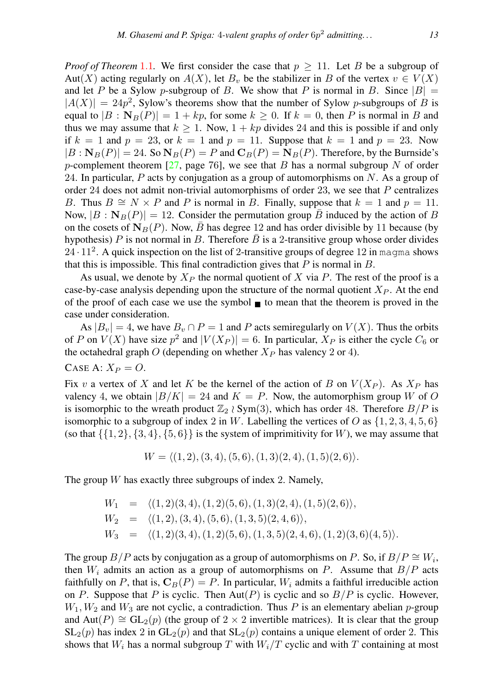*Proof of Theorem* [1](#page-1-0).1. We first consider the case that  $p \ge 11$ . Let B be a subgroup of Aut(X) acting regularly on  $A(X)$ , let  $B_v$  be the stabilizer in B of the vertex  $v \in V(X)$ and let P be a Sylow p-subgroup of B. We show that P is normal in B. Since  $|B| =$  $|A(X)| = 24p^2$ , Sylow's theorems show that the number of Sylow p-subgroups of B is equal to  $|B : \mathbf{N}_B(P)| = 1 + kp$ , for some  $k \ge 0$ . If  $k = 0$ , then P is normal in B and thus we may assume that  $k \ge 1$ . Now,  $1 + kp$  divides 24 and this is possible if and only if  $k = 1$  and  $p = 23$ , or  $k = 1$  and  $p = 11$ . Suppose that  $k = 1$  and  $p = 23$ . Now  $|B : \mathbf{N}_B(P)| = 24$ . So  $\mathbf{N}_B(P) = P$  and  $\mathbf{C}_B(P) = \mathbf{N}_B(P)$ . Therefore, by the Burnside's p-complement theorem [\[27,](#page-17-7) page 76], we see that B has a normal subgroup N of order 24. In particular,  $P$  acts by conjugation as a group of automorphisms on  $N$ . As a group of order 24 does not admit non-trivial automorphisms of order 23, we see that  $P$  centralizes B. Thus  $B \cong N \times P$  and P is normal in B. Finally, suppose that  $k = 1$  and  $p = 11$ . Now,  $|B : \mathbf{N}_B(P)| = 12$ . Consider the permutation group B induced by the action of B on the cosets of  $N_B(P)$ . Now,  $\bar{B}$  has degree 12 and has order divisible by 11 because (by hypothesis) P is not normal in B. Therefore  $\bar{B}$  is a 2-transitive group whose order divides  $24 \cdot 11^2$ . A quick inspection on the list of 2-transitive groups of degree 12 in magma shows that this is impossible. This final contradiction gives that  $P$  is normal in  $B$ .

As usual, we denote by  $X_P$  the normal quotient of X via P. The rest of the proof is a case-by-case analysis depending upon the structure of the normal quotient  $X<sub>P</sub>$ . At the end of the proof of each case we use the symbol  $\blacksquare$  to mean that the theorem is proved in the case under consideration.

As  $|B_v| = 4$ , we have  $B_v \cap P = 1$  and P acts semiregularly on  $V(X)$ . Thus the orbits of P on  $V(X)$  have size  $p^2$  and  $|V(X_P)| = 6$ . In particular,  $X_P$  is either the cycle  $C_6$  or the octahedral graph O (depending on whether  $X_P$  has valency 2 or 4).

CASE A: 
$$
X_P = O
$$
.

Fix v a vertex of X and let K be the kernel of the action of B on  $V(X_P)$ . As  $X_P$  has valency 4, we obtain  $|B/K| = 24$  and  $K = P$ . Now, the automorphism group W of O is isomorphic to the wreath product  $\mathbb{Z}_2 \wr Sym(3)$ , which has order 48. Therefore  $B/P$  is isomorphic to a subgroup of index 2 in W. Labelling the vertices of O as  $\{1, 2, 3, 4, 5, 6\}$ (so that  $\{\{1, 2\}, \{3, 4\}, \{5, 6\}\}\$  is the system of imprimitivity for W), we may assume that

$$
W = \langle (1,2), (3,4), (5,6), (1,3)(2,4), (1,5)(2,6) \rangle.
$$

The group  $W$  has exactly three subgroups of index 2. Namely,

$$
W_1 = \langle (1,2)(3,4), (1,2)(5,6), (1,3)(2,4), (1,5)(2,6) \rangle,
$$
  
\n
$$
W_2 = \langle (1,2), (3,4), (5,6), (1,3,5)(2,4,6) \rangle,
$$
  
\n
$$
W_3 = \langle (1,2)(3,4), (1,2)(5,6), (1,3,5)(2,4,6), (1,2)(3,6)(4,5) \rangle.
$$

The group  $B/P$  acts by conjugation as a group of automorphisms on P. So, if  $B/P \cong W_i$ , then  $W_i$  admits an action as a group of automorphisms on P. Assume that  $B/P$  acts faithfully on P, that is,  $C_B(P) = P$ . In particular,  $W_i$  admits a faithful irreducible action on P. Suppose that P is cyclic. Then  $Aut(P)$  is cyclic and so  $B/P$  is cyclic. However,  $W_1, W_2$  and  $W_3$  are not cyclic, a contradiction. Thus P is an elementary abelian p-group and Aut(P)  $\cong$  GL<sub>2</sub>(p) (the group of 2 × 2 invertible matrices). It is clear that the group  $SL_2(p)$  has index 2 in  $GL_2(p)$  and that  $SL_2(p)$  contains a unique element of order 2. This shows that  $W_i$  has a normal subgroup T with  $W_i/T$  cyclic and with T containing at most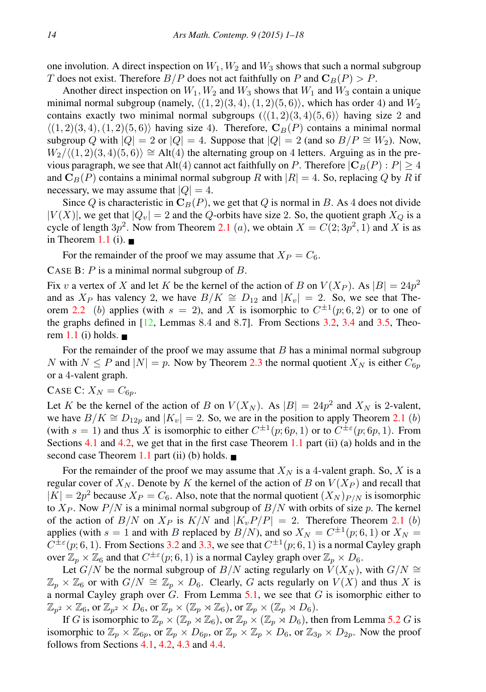one involution. A direct inspection on  $W_1, W_2$  and  $W_3$  shows that such a normal subgroup T does not exist. Therefore  $B/P$  does not act faithfully on P and  $\mathbf{C}_B(P) > P$ .

Another direct inspection on  $W_1, W_2$  and  $W_3$  shows that  $W_1$  and  $W_3$  contain a unique minimal normal subgroup (namely,  $\langle (1, 2)(3, 4), (1, 2)(5, 6) \rangle$ , which has order 4) and  $W_2$ contains exactly two minimal normal subgroups  $(\langle (1, 2)(3, 4)(5, 6) \rangle$  having size 2 and  $\langle (1, 2)(3, 4), (1, 2)(5, 6) \rangle$  having size 4). Therefore,  $C_B(P)$  contains a minimal normal subgroup Q with  $|Q| = 2$  or  $|Q| = 4$ . Suppose that  $|Q| = 2$  (and so  $B/P \cong W_2$ ). Now,  $W_2/\langle (1, 2)(3, 4)(5, 6) \rangle \cong$  Alt(4) the alternating group on 4 letters. Arguing as in the previous paragraph, we see that Alt(4) cannot act faithfully on P. Therefore  $|C_B(P): P| \geq 4$ and  $\mathbf{C}_B(P)$  contains a minimal normal subgroup R with  $|R| = 4$ . So, replacing Q by R if necessary, we may assume that  $|Q| = 4$ .

Since Q is characteristic in  $C_B(P)$ , we get that Q is normal in B. As 4 does not divide  $|V(X)|$ , we get that  $|Q_v| = 2$  and the Q-orbits have size 2. So, the quotient graph  $X_O$  is a cycle of length  $3p^2$ . Now from Theorem [2.1](#page-2-1) (*a*), we obtain  $X = C(2, 3p^2, 1)$  and X is as in Theorem [1.1](#page-1-0) (i).  $\blacksquare$ 

For the remainder of the proof we may assume that  $X_P = C_6$ .

CASE B:  $P$  is a minimal normal subgroup of  $B$ .

Fix v a vertex of X and let K be the kernel of the action of B on  $V(X_P)$ . As  $|B| = 24p^2$ and as  $X_P$  has valency 2, we have  $B/K \cong D_{12}$  and  $|K_v| = 2$ . So, we see that The-orem [2.2](#page-3-2) (b) applies (with  $s = 2$ ), and X is isomorphic to  $C^{\pm 1}(p; 6, 2)$  or to one of the graphs defined in [\[12,](#page-16-19) Lemmas 8.4 and 8.7]. From Sections [3.2,](#page-3-1) [3.4](#page-4-1) and [3.5,](#page-5-0) Theo-rem [1.1](#page-1-0) (i) holds.  $\blacksquare$ 

For the remainder of the proof we may assume that  $B$  has a minimal normal subgroup N with  $N \le P$  and  $|N| = p$ . Now by Theorem [2.3](#page-3-3) the normal quotient  $X_N$  is either  $C_{6p}$ or a 4-valent graph.

#### CASE C:  $X_N = C_{6p}$ .

Let K be the kernel of the action of B on  $V(X_N)$ . As  $|B| = 24p^2$  and  $X_N$  is 2-valent, we have  $B/K \cong D_{12p}$  and  $|K_v| = 2$ . So, we are in the position to apply Theorem [2.1](#page-2-1) (b) (with  $s = 1$ ) and thus X is isomorphic to either  $C^{\pm 1}(p; 6p, 1)$  or to  $C^{\pm \varepsilon}(p; 6p, 1)$ . From Sections [4.1](#page-6-1) and [4.2,](#page-7-1) we get that in the first case Theorem [1.1](#page-1-0) part (ii) (a) holds and in the second case Theorem [1.1](#page-1-0) part (ii) (b) holds.  $\blacksquare$ 

For the remainder of the proof we may assume that  $X_N$  is a 4-valent graph. So, X is a regular cover of  $X_N$ . Denote by K the kernel of the action of B on  $V(X_P)$  and recall that  $|K| = 2p^2$  because  $X_P = C_6$ . Also, note that the normal quotient  $(X_N)_{P/N}$  is isomorphic to  $X_P$ . Now  $P/N$  is a minimal normal subgroup of  $B/N$  with orbits of size p. The kernel of the action of  $B/N$  on  $X_P$  is  $K/N$  and  $|K_vP/P| = 2$ . Therefore Theorem [2.1](#page-2-1) (b) applies (with  $s = 1$  and with B replaced by  $B/N$ ), and so  $X_N = C^{\pm 1}(p; 6, 1)$  or  $X_N =$  $C^{\pm\epsilon}(p;6,1)$ . From Sections [3.2](#page-3-1) and [3.3,](#page-4-2) we see that  $C^{\pm1}(p;6,1)$  is a normal Cayley graph over  $\mathbb{Z}_p \times \mathbb{Z}_6$  and that  $C^{\pm \varepsilon}(p;6,1)$  is a normal Cayley graph over  $\mathbb{Z}_p \times D_6$ .

Let  $G/N$  be the normal subgroup of  $B/N$  acting regularly on  $V(X_N)$ , with  $G/N \cong$  $\mathbb{Z}_p \times \mathbb{Z}_6$  or with  $G/N \cong \mathbb{Z}_p \times D_6$ . Clearly, G acts regularly on  $V(X)$  and thus X is a normal Cayley graph over  $G$ . From Lemma [5.1,](#page-10-2) we see that  $G$  is isomorphic either to  $\mathbb{Z}_{p^2}\times \mathbb{Z}_6$ , or  $\mathbb{Z}_{p^2}\times D_6$ , or  $\mathbb{Z}_p\times (\mathbb{Z}_p\rtimes \mathbb{Z}_6)$ , or  $\mathbb{Z}_p\times (\mathbb{Z}_p\rtimes D_6)$ .

If G is isomorphic to  $\mathbb{Z}_p\times(\mathbb{Z}_p\rtimes\mathbb{Z}_6)$ , or  $\mathbb{Z}_p\times(\mathbb{Z}_p\rtimes D_6)$ , then from Lemma [5.2](#page-11-0) G is isomorphic to  $\mathbb{Z}_p \times \mathbb{Z}_{6p}$ , or  $\mathbb{Z}_p \times D_{6p}$ , or  $\mathbb{Z}_p \times \mathbb{Z}_p \times D_6$ , or  $\mathbb{Z}_{3p} \times D_{2p}$ . Now the proof follows from Sections [4.1,](#page-6-1) [4.2,](#page-7-1) [4.3](#page-8-0) and [4.4.](#page-9-0)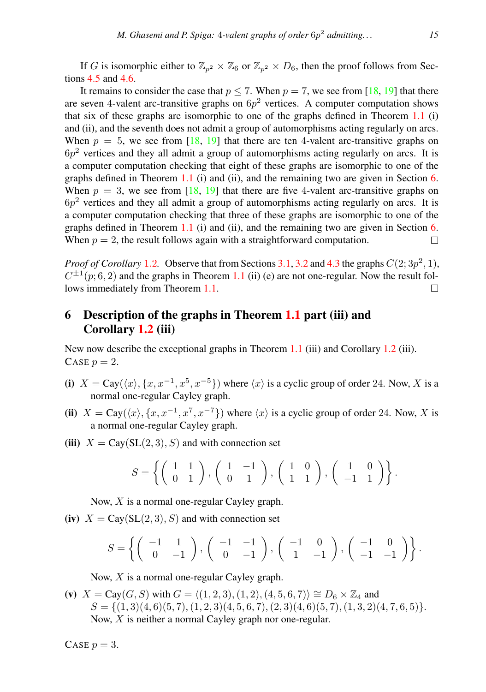If G is isomorphic either to  $\mathbb{Z}_{n^2} \times \mathbb{Z}_6$  or  $\mathbb{Z}_{n^2} \times D_6$ , then the proof follows from Sections [4.5](#page-10-3) and [4.6.](#page-10-1)

It remains to consider the case that  $p \le 7$ . When  $p = 7$ , we see from [\[18,](#page-16-17) [19\]](#page-16-5) that there are seven 4-valent arc-transitive graphs on  $6p^2$  vertices. A computer computation shows that six of these graphs are isomorphic to one of the graphs defined in Theorem  $1.1$  (i) and (ii), and the seventh does not admit a group of automorphisms acting regularly on arcs. When  $p = 5$ , we see from [\[18,](#page-16-17) [19\]](#page-16-5) that there are ten 4-valent arc-transitive graphs on  $6p<sup>2</sup>$  vertices and they all admit a group of automorphisms acting regularly on arcs. It is a computer computation checking that eight of these graphs are isomorphic to one of the graphs defined in Theorem [1.1](#page-1-0) (i) and (ii), and the remaining two are given in Section [6.](#page-14-0) When  $p = 3$ , we see from [\[18,](#page-16-17) [19\]](#page-16-5) that there are five 4-valent arc-transitive graphs on  $6p<sup>2</sup>$  vertices and they all admit a group of automorphisms acting regularly on arcs. It is a computer computation checking that three of these graphs are isomorphic to one of the graphs defined in Theorem  $1.1$  (i) and (ii), and the remaining two are given in Section [6.](#page-14-0) When  $p = 2$ , the result follows again with a straightforward computation.  $\Box$ 

*Proof of Corollary* [1](#page-1-1).2. Observe that from Sections [3.1,](#page-3-4) [3.2](#page-3-1) and [4.3](#page-8-0) the graphs  $C(2; 3p^2, 1)$ ,  $C^{\pm 1}(p; 6, 2)$  and the graphs in Theorem [1.1](#page-1-0) (ii) (e) are not one-regular. Now the result follows immediately from Theorem [1.1.](#page-1-0)  $\Box$ 

# <span id="page-14-0"></span>6 Description of the graphs in Theorem [1.1](#page-1-0) part (iii) and Corollary [1.2](#page-1-1) (iii)

New now describe the exceptional graphs in Theorem [1.1](#page-1-0) (iii) and Corollary [1.2](#page-1-1) (iii). CASE  $p = 2$ .

- (i)  $X = \text{Cay}(\langle x \rangle, \{x, x^{-1}, x^5, x^{-5}\})$  where  $\langle x \rangle$  is a cyclic group of order 24. Now, X is a normal one-regular Cayley graph.
- (ii)  $X = \text{Cay}(\langle x \rangle, \{x, x^{-1}, x^7, x^{-7}\})$  where  $\langle x \rangle$  is a cyclic group of order 24. Now, X is a normal one-regular Cayley graph.
- (iii)  $X = \text{Cay}(SL(2, 3), S)$  and with connection set

$$
S = \left\{ \left( \begin{array}{cc} 1 & 1 \\ 0 & 1 \end{array} \right), \left( \begin{array}{cc} 1 & -1 \\ 0 & 1 \end{array} \right), \left( \begin{array}{cc} 1 & 0 \\ 1 & 1 \end{array} \right), \left( \begin{array}{cc} 1 & 0 \\ -1 & 1 \end{array} \right) \right\}.
$$

Now, X is a normal one-regular Cayley graph.

(iv)  $X = \text{Cay}(SL(2, 3), S)$  and with connection set

$$
S = \left\{ \left( \begin{array}{rr} -1 & 1 \\ 0 & -1 \end{array} \right), \left( \begin{array}{rr} -1 & -1 \\ 0 & -1 \end{array} \right), \left( \begin{array}{rr} -1 & 0 \\ 1 & -1 \end{array} \right), \left( \begin{array}{rr} -1 & 0 \\ -1 & -1 \end{array} \right) \right\}.
$$

Now, X is a normal one-regular Cayley graph.

(v)  $X = Cay(G, S)$  with  $G = \langle (1, 2, 3), (1, 2), (4, 5, 6, 7) \rangle \cong D_6 \times \mathbb{Z}_4$  and  $S = \{(1,3)(4,6)(5,7), (1,2,3)(4,5,6,7), (2,3)(4,6)(5,7), (1,3,2)(4,7,6,5)\}.$ Now, X is neither a normal Cayley graph nor one-regular.

CASE  $p = 3$ .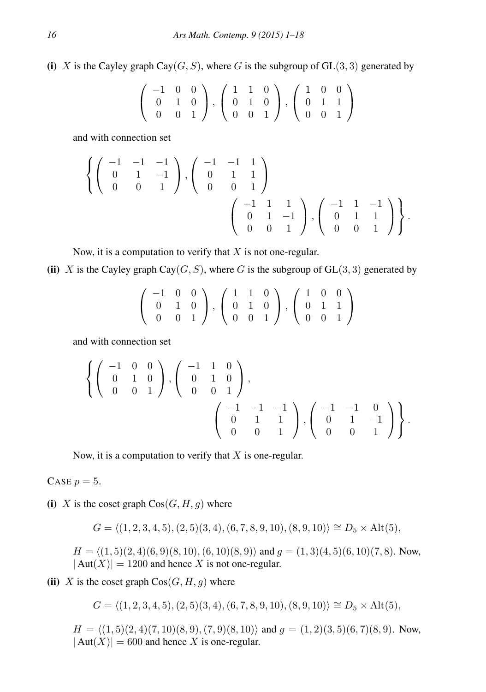(i) X is the Cayley graph Cay( $G, S$ ), where G is the subgroup of GL(3,3) generated by

$$
\left(\begin{array}{rrr} -1 & 0 & 0 \\ 0 & 1 & 0 \\ 0 & 0 & 1 \end{array}\right), \left(\begin{array}{rrr} 1 & 1 & 0 \\ 0 & 1 & 0 \\ 0 & 0 & 1 \end{array}\right), \left(\begin{array}{rrr} 1 & 0 & 0 \\ 0 & 1 & 1 \\ 0 & 0 & 1 \end{array}\right)
$$

and with connection set

$$
\left\{ \left( \begin{array}{rrr} -1 & -1 & -1 \\ 0 & 1 & -1 \\ 0 & 0 & 1 \end{array} \right), \left( \begin{array}{rrr} -1 & -1 & 1 \\ 0 & 1 & 1 \\ 0 & 0 & 1 \end{array} \right) \right\}
$$

$$
\left( \begin{array}{rrr} -1 & 1 & 1 \\ 0 & 1 & -1 \\ 0 & 0 & 1 \end{array} \right), \left( \begin{array}{rrr} -1 & 1 & -1 \\ 0 & 1 & 1 \\ 0 & 0 & 1 \end{array} \right) \right\}.
$$

Now, it is a computation to verify that  $X$  is not one-regular.

(ii) X is the Cayley graph Cay( $G, S$ ), where G is the subgroup of  $GL(3, 3)$  generated by

$$
\left(\begin{array}{rrr} -1 & 0 & 0 \\ 0 & 1 & 0 \\ 0 & 0 & 1 \end{array}\right), \left(\begin{array}{rrr} 1 & 1 & 0 \\ 0 & 1 & 0 \\ 0 & 0 & 1 \end{array}\right), \left(\begin{array}{rrr} 1 & 0 & 0 \\ 0 & 1 & 1 \\ 0 & 0 & 1 \end{array}\right)
$$

and with connection set

$$
\left\{ \left( \begin{array}{rrr} -1 & 0 & 0 \\ 0 & 1 & 0 \\ 0 & 0 & 1 \end{array} \right), \left( \begin{array}{rrr} -1 & 1 & 0 \\ 0 & 1 & 0 \\ 0 & 0 & 1 \end{array} \right), \right\}
$$

$$
\left( \begin{array}{rrr} -1 & -1 & -1 \\ 0 & 1 & 1 \\ 0 & 0 & 1 \end{array} \right), \left( \begin{array}{rrr} -1 & -1 & 0 \\ 0 & 1 & -1 \\ 0 & 0 & 1 \end{array} \right) \right\}.
$$

Now, it is a computation to verify that  $X$  is one-regular.

CASE  $p = 5$ .

(i) X is the coset graph  $Cos(G, H, g)$  where

 $G = \langle (1, 2, 3, 4, 5), (2, 5)(3, 4), (6, 7, 8, 9, 10), (8, 9, 10)\rangle \cong D_5 \times Alt(5),$ 

 $H = \langle (1, 5)(2, 4)(6, 9)(8, 10), (6, 10)(8, 9) \rangle$  and  $g = (1, 3)(4, 5)(6, 10)(7, 8)$ . Now,  $|\text{Aut}(X)| = 1200$  and hence X is not one-regular.

(ii) X is the coset graph  $Cos(G, H, g)$  where

$$
G = \langle (1, 2, 3, 4, 5), (2, 5)(3, 4), (6, 7, 8, 9, 10), (8, 9, 10) \rangle \cong D_5 \times Alt(5),
$$

 $H = \langle (1, 5)(2, 4)(7, 10)(8, 9), (7, 9)(8, 10) \rangle$  and  $g = (1, 2)(3, 5)(6, 7)(8, 9)$ . Now,  $|\text{Aut}(X)| = 600$  and hence X is one-regular.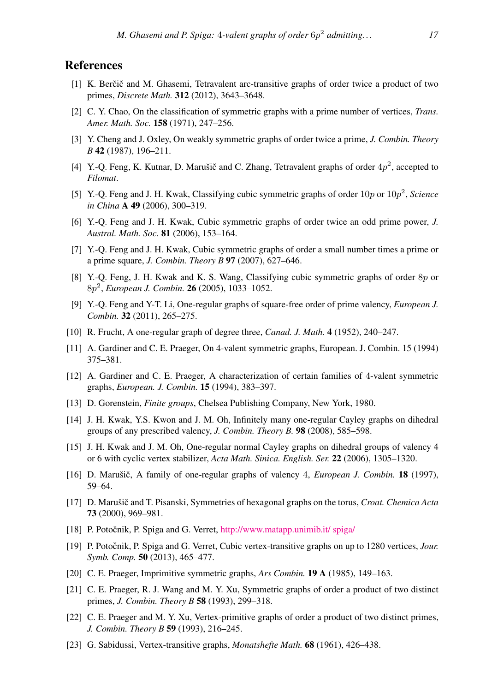# **References**

- <span id="page-16-9"></span>[1] K. Berčič and M. Ghasemi, Tetravalent arc-transitive graphs of order twice a product of two primes, *Discrete Math.* 312 (2012), 3643–3648.
- <span id="page-16-10"></span>[2] C. Y. Chao, On the classification of symmetric graphs with a prime number of vertices, *Trans. Amer. Math. Soc.* 158 (1971), 247–256.
- <span id="page-16-13"></span>[3] Y. Cheng and J. Oxley, On weakly symmetric graphs of order twice a prime, *J. Combin. Theory B* 42 (1987), 196–211.
- <span id="page-16-16"></span>[4] Y.-Q. Feng, K. Kutnar, D. Marušič and C. Zhang, Tetravalent graphs of order  $4p^2$ , accepted to *Filomat*.
- <span id="page-16-1"></span>[5] Y.-Q. Feng and J. H. Kwak, Classifying cubic symmetric graphs of order 10p or 10p 2 , *Science in China* A 49 (2006), 300–319.
- <span id="page-16-2"></span>[6] Y.-Q. Feng and J. H. Kwak, Cubic symmetric graphs of order twice an odd prime power, *J. Austral. Math. Soc.* 81 (2006), 153–164.
- <span id="page-16-3"></span>[7] Y.-Q. Feng and J. H. Kwak, Cubic symmetric graphs of order a small number times a prime or a prime square, *J. Combin. Theory B* 97 (2007), 627–646.
- <span id="page-16-4"></span>[8] Y.-Q. Feng, J. H. Kwak and K. S. Wang, Classifying cubic symmetric graphs of order 8p or 8p 2 , *European J. Combin.* 26 (2005), 1033–1052.
- <span id="page-16-8"></span>[9] Y.-Q. Feng and Y-T. Li, One-regular graphs of square-free order of prime valency, *European J. Combin.* 32 (2011), 265–275.
- <span id="page-16-0"></span>[10] R. Frucht, A one-regular graph of degree three, *Canad. J. Math.* 4 (1952), 240–247.
- <span id="page-16-20"></span>[11] A. Gardiner and C. E. Praeger, On 4-valent symmetric graphs, European. J. Combin. 15 (1994) 375–381.
- <span id="page-16-19"></span>[12] A. Gardiner and C. E. Praeger, A characterization of certain families of 4-valent symmetric graphs, *European. J. Combin.* 15 (1994), 383–397.
- <span id="page-16-22"></span>[13] D. Gorenstein, *Finite groups*, Chelsea Publishing Company, New York, 1980.
- <span id="page-16-7"></span>[14] J. H. Kwak, Y.S. Kwon and J. M. Oh, Infinitely many one-regular Cayley graphs on dihedral groups of any prescribed valency, *J. Combin. Theory B.* 98 (2008), 585–598.
- <span id="page-16-11"></span>[15] J. H. Kwak and J. M. Oh, One-regular normal Cayley graphs on dihedral groups of valency 4 or 6 with cyclic vertex stabilizer, *Acta Math. Sinica. English. Ser.* 22 (2006), 1305–1320.
- <span id="page-16-12"></span>[16] D. Marušič, A family of one-regular graphs of valency 4, *European J. Combin.* **18** (1997), 59–64.
- <span id="page-16-6"></span>[17] D. Marušič and T. Pisanski, Symmetries of hexagonal graphs on the torus, *Croat. Chemica Acta* 73 (2000), 969–981.
- <span id="page-16-17"></span>[18] P. Potočnik, P. Spiga and G. Verret, [http://www.matapp.unimib.it/ spiga/](http://www.matapp.unimib.it/~spiga/census.html)
- <span id="page-16-5"></span>[19] P. Potočnik, P. Spiga and G. Verret, Cubic vertex-transitive graphs on up to 1280 vertices, *Jour. Symb. Comp.* 50 (2013), 465–477.
- <span id="page-16-18"></span>[20] C. E. Praeger, Imprimitive symmetric graphs, *Ars Combin.* 19 A (1985), 149–163.
- <span id="page-16-14"></span>[21] C. E. Praeger, R. J. Wang and M. Y. Xu, Symmetric graphs of order a product of two distinct primes, *J. Combin. Theory B* 58 (1993), 299–318.
- <span id="page-16-15"></span>[22] C. E. Praeger and M. Y. Xu, Vertex-primitive graphs of order a product of two distinct primes, *J. Combin. Theory B* 59 (1993), 216–245.
- <span id="page-16-21"></span>[23] G. Sabidussi, Vertex-transitive graphs, *Monatshefte Math.* 68 (1961), 426–438.